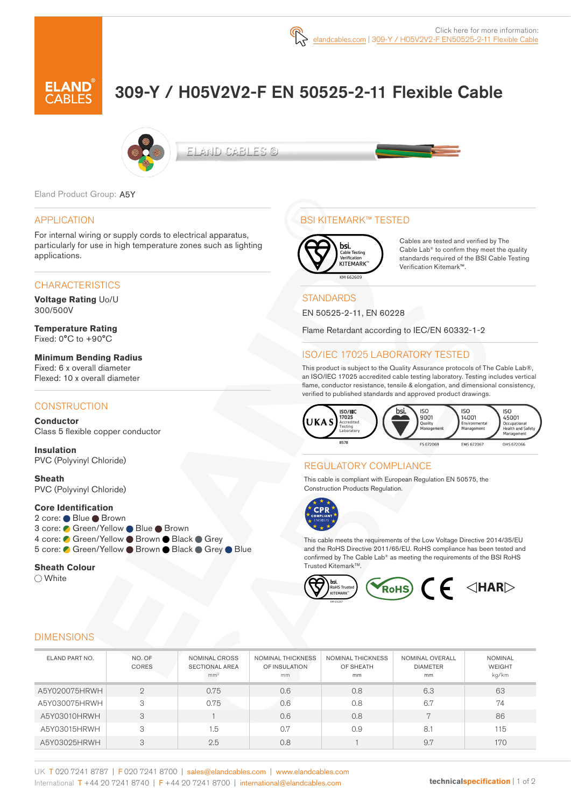# 309-Y / H05V2V2-F EN 50525-2-11 Flexible Cable



ELAND CABLES ©

Eland Product Group: A5Y

#### APPLICATION

For internal wiring or supply cords to electrical apparatus, particularly for use in high temperature zones such as lighting applications.

#### **CHARACTERISTICS**

**Voltage Rating** Uo/U 300/500V

**Temperature Rating** Fixed: 0°C to +90°C

**Minimum Bending Radius**  Fixed: 6 x overall diameter Flexed: 10 x overall diameter

### **CONSTRUCTION**

**Conductor** Class 5 flexible copper conductor

**Insulation** PVC (Polyvinyl Chloride)

**Sheath** PVC (Polyvinyl Chloride)

#### **Core Identification**

2 core: ● Blue ● Brown 3 core: ● Green/Yellow ● Blue ● Brown 4 core: C Green/Yellow Brown Black Grey 5 core: ● Green/Yellow ● Brown ● Black ● Grey ● Blue

#### **Sheath Colour**

◯ White

# BSI KITEMARK™ TESTED



Cables are tested and verified by The Cable Lab® to confirm they meet the quality standards required of the BSI Cable Testing Verification Kitemark™.

### **STANDARDS**

EN 50525-2-11, EN 60228

Flame Retardant according to IEC/EN 60332-1-2

## ISO/IEC 17025 LABORATORY TESTED

This product is subject to the Quality Assurance protocols of The Cable Lab®, an ISO/IEC 17025 accredited cable testing laboratory. Testing includes vertical flame, conductor resistance, tensile & elongation, and dimensional consistency, verified to published standards and approved product drawings.



#### REGULATORY COMPLIANCE

This cable is compliant with European Regulation EN 50575, the Construction Products Regulation.



This cable meets the requirements of the Low Voltage Directive 2014/35/EU and the RoHS Directive 2011/65/EU. RoHS compliance has been tested and confirmed by The Cable Lab® as meeting the requirements of the BSI RoHS Trusted KitemarkTM.



#### DIMENSIONS

| ELAND PART NO. | NO. OF<br>CORES | <b>NOMINAL CROSS</b><br><b>SECTIONAL AREA</b><br>mm <sup>2</sup> | <b>NOMINAL THICKNESS</b><br>OF INSULATION<br>mm | <b>NOMINAL THICKNESS</b><br>OF SHEATH<br>mm | NOMINAL OVERALL<br><b>DIAMETER</b><br>mm | <b>NOMINAL</b><br><b>WEIGHT</b><br>kg/km |
|----------------|-----------------|------------------------------------------------------------------|-------------------------------------------------|---------------------------------------------|------------------------------------------|------------------------------------------|
| A5Y020075HRWH  | $\Omega$        | 0.75                                                             | 0.6                                             | 0.8                                         | 6.3                                      | 63                                       |
| A5Y030075HRWH  | 3               | 0.75                                                             | 0.6                                             | 0.8                                         | 6.7                                      | 74                                       |
| A5Y03010HRWH   | 3               |                                                                  | 0.6                                             | 0.8                                         | $\overline{ }$                           | 86                                       |
| A5Y03015HRWH   | 3               | 1.5                                                              | 0.7                                             | 0.9                                         | 8.1                                      | 115                                      |
| A5Y03025HRWH   | 3               | 2.5                                                              | 0.8                                             |                                             | 9.7                                      | 170                                      |